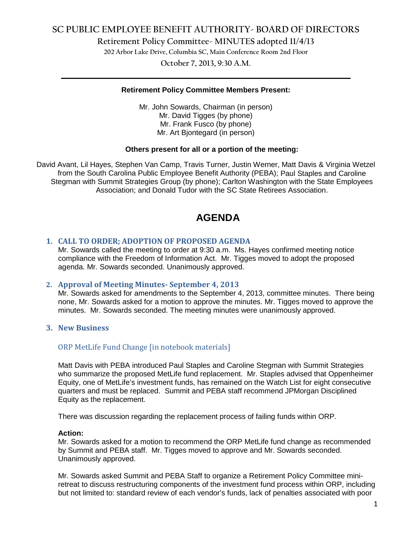## **SC PUBLIC EMPLOYEE BENEFIT AUTHORITY- BOARD OF DIRECTORS**

**Retirement Policy Committee- MINUTES adopted 11/4/13**

**202 Arbor Lake Drive, Columbia SC, Main Conference Room 2nd Floor**

**October 7, 2013, 9:30 A.M. \_\_\_\_\_\_\_\_\_\_\_\_\_\_\_\_\_\_\_\_\_\_\_\_\_\_\_\_\_\_\_\_\_\_\_\_\_\_\_\_\_\_\_\_\_\_\_\_\_\_\_\_\_\_\_\_\_\_\_\_\_\_\_\_\_\_\_\_\_\_\_\_**

## **Retirement Policy Committee Members Present:**

Mr. John Sowards, Chairman (in person) Mr. David Tigges (by phone) Mr. Frank Fusco (by phone) Mr. Art Bjontegard (in person)

#### **Others present for all or a portion of the meeting:**

David Avant, Lil Hayes, Stephen Van Camp, Travis Turner, Justin Werner, Matt Davis & Virginia Wetzel from the South Carolina Public Employee Benefit Authority (PEBA); Paul Staples and Caroline Stegman with Summit Strategies Group (by phone); Carlton Washington with the State Employees Association; and Donald Tudor with the SC State Retirees Association.

# **AGENDA**

## **1. CALL TO ORDER; ADOPTION OF PROPOSED AGENDA**

Mr. Sowards called the meeting to order at 9:30 a.m. Ms. Hayes confirmed meeting notice compliance with the Freedom of Information Act. Mr. Tigges moved to adopt the proposed agenda. Mr. Sowards seconded. Unanimously approved.

## **2. Approval of Meeting Minutes- September 4, 2013**

Mr. Sowards asked for amendments to the September 4, 2013, committee minutes. There being none, Mr. Sowards asked for a motion to approve the minutes. Mr. Tigges moved to approve the minutes. Mr. Sowards seconded. The meeting minutes were unanimously approved.

## **3. New Business**

## ORP MetLife Fund Change [in notebook materials]

Matt Davis with PEBA introduced Paul Staples and Caroline Stegman with Summit Strategies who summarize the proposed MetLife fund replacement. Mr. Staples advised that Oppenheimer Equity, one of MetLife's investment funds, has remained on the Watch List for eight consecutive quarters and must be replaced. Summit and PEBA staff recommend JPMorgan Disciplined Equity as the replacement.

There was discussion regarding the replacement process of failing funds within ORP.

#### **Action:**

Mr. Sowards asked for a motion to recommend the ORP MetLife fund change as recommended by Summit and PEBA staff. Mr. Tigges moved to approve and Mr. Sowards seconded. Unanimously approved.

Mr. Sowards asked Summit and PEBA Staff to organize a Retirement Policy Committee miniretreat to discuss restructuring components of the investment fund process within ORP, including but not limited to: standard review of each vendor's funds, lack of penalties associated with poor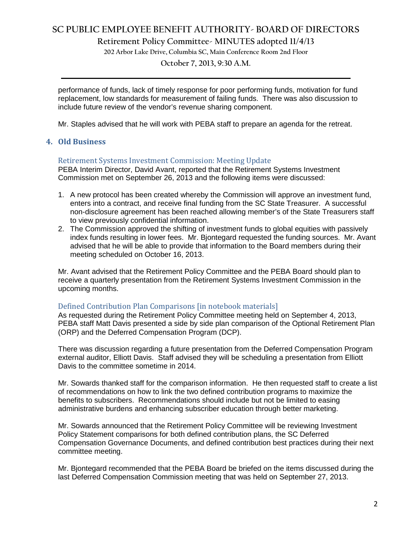## **SC PUBLIC EMPLOYEE BENEFIT AUTHORITY- BOARD OF DIRECTORS**

**Retirement Policy Committee- MINUTES adopted 11/4/13**

**202 Arbor Lake Drive, Columbia SC, Main Conference Room 2nd Floor**

**October 7, 2013, 9:30 A.M. \_\_\_\_\_\_\_\_\_\_\_\_\_\_\_\_\_\_\_\_\_\_\_\_\_\_\_\_\_\_\_\_\_\_\_\_\_\_\_\_\_\_\_\_\_\_\_\_\_\_\_\_\_\_\_\_\_\_\_\_\_\_\_\_\_\_\_\_\_\_\_\_**

performance of funds, lack of timely response for poor performing funds, motivation for fund replacement, low standards for measurement of failing funds. There was also discussion to include future review of the vendor's revenue sharing component.

Mr. Staples advised that he will work with PEBA staff to prepare an agenda for the retreat.

## **4. Old Business**

## Retirement Systems Investment Commission: Meeting Update

PEBA Interim Director, David Avant, reported that the Retirement Systems Investment Commission met on September 26, 2013 and the following items were discussed:

- 1. A new protocol has been created whereby the Commission will approve an investment fund, enters into a contract, and receive final funding from the SC State Treasurer. A successful non-disclosure agreement has been reached allowing member's of the State Treasurers staff to view previously confidential information.
- 2. The Commission approved the shifting of investment funds to global equities with passively index funds resulting in lower fees. Mr. Bjontegard requested the funding sources. Mr. Avant advised that he will be able to provide that information to the Board members during their meeting scheduled on October 16, 2013.

Mr. Avant advised that the Retirement Policy Committee and the PEBA Board should plan to receive a quarterly presentation from the Retirement Systems Investment Commission in the upcoming months.

## Defined Contribution Plan Comparisons [in notebook materials]

As requested during the Retirement Policy Committee meeting held on September 4, 2013, PEBA staff Matt Davis presented a side by side plan comparison of the Optional Retirement Plan (ORP) and the Deferred Compensation Program (DCP).

There was discussion regarding a future presentation from the Deferred Compensation Program external auditor, Elliott Davis. Staff advised they will be scheduling a presentation from Elliott Davis to the committee sometime in 2014.

Mr. Sowards thanked staff for the comparison information. He then requested staff to create a list of recommendations on how to link the two defined contribution programs to maximize the benefits to subscribers. Recommendations should include but not be limited to easing administrative burdens and enhancing subscriber education through better marketing.

Mr. Sowards announced that the Retirement Policy Committee will be reviewing Investment Policy Statement comparisons for both defined contribution plans, the SC Deferred Compensation Governance Documents, and defined contribution best practices during their next committee meeting.

Mr. Bjontegard recommended that the PEBA Board be briefed on the items discussed during the last Deferred Compensation Commission meeting that was held on September 27, 2013.